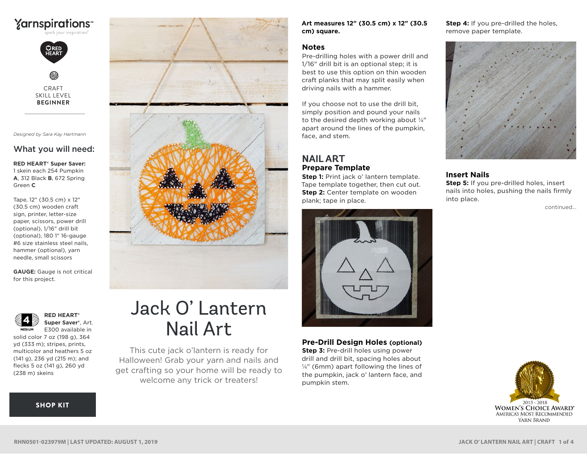# **Yarnspirations**



CRAFT SKILL LEVEL **BEGINNER**

*Designed by Sara Kay Hartmann*

### What you will need:

**RED HEART® Super Saver:** 1 skein each 254 Pumpkin **A**, 312 Black **B**, 672 Spring Green **C**

Tape, 12" (30.5 cm) x 12" (30.5 cm) wooden craft sign, printer, letter-size paper, scissors, power drill (optional), 1/16" drill bit (optional), 180 1" 16-gauge #6 size stainless steel nails, hammer (optional), yarn needle, small scissors

**GAUGE:** Gauge is not critical for this project.



**RED HEART® Super Saver®**, Art. E300 available in

solid color 7 oz (198 g), 364 yd (333 m); stripes, prints, multicolor and heathers 5 oz (141 g), 236 yd (215 m); and flecks 5 oz (141 g), 260 yd (238 m) skeins

[SHOP KIT](https://www.yarnspirations.com/red-heart-jack-o-lantern-nail-art/RHN0501-023979M.html#utm_source=pdf-yarnspirations&utm_medium=referral&utm_campaign=pdf-RHN0501-023979M)



# Jack O' Lantern Nail Art

This cute jack o'lantern is ready for Halloween! Grab your yarn and nails and get crafting so your home will be ready to welcome any trick or treaters!

**Art measures 12" (30.5 cm) x 12" (30.5 cm) square.**

#### **Notes**

Pre-drilling holes with a power drill and 1/16" drill bit is an optional step; it is best to use this option on thin wooden craft planks that may split easily when driving nails with a hammer.

If you choose not to use the drill bit, simply position and pound your nails to the desired depth working about ¼" apart around the lines of the pumpkin, face, and stem.

#### **NAIL ART Prepare Template**

**Step 1:** Print jack o' lantern template. Tape template together, then cut out. **Step 2:** Center template on wooden plank; tape in place.



**Pre-Drill Design Holes (optional) Step 3: Pre-drill holes using power** 

drill and drill bit, spacing holes about ¼" (6mm) apart following the lines of the pumpkin, jack o' lantern face, and pumpkin stem.

**Step 4:** If you pre-drilled the holes, remove paper template.



#### **Insert Nails**

**Step 5:** If you pre-drilled holes, insert nails into holes, pushing the nails firmly into place.

continued...

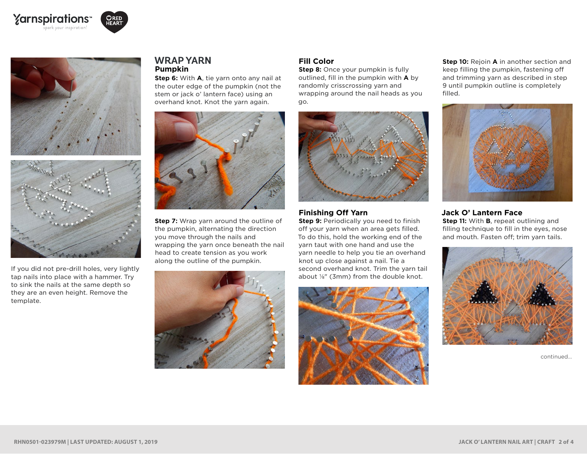







If you did not pre-drill holes, very lightly tap nails into place with a hammer. Try to sink the nails at the same depth so they are an even height. Remove the template.

#### **WRAP YARN Pumpkin**

**Step 6:** With **A**, tie yarn onto any nail at the outer edge of the pumpkin (not the stem or jack o' lantern face) using an overhand knot. Knot the yarn again.



**Step 7:** Wrap yarn around the outline of the pumpkin, alternating the direction you move through the nails and wrapping the yarn once beneath the nail head to create tension as you work along the outline of the pumpkin.



#### **Fill Color**

**Step 8:** Once your pumpkin is fully outlined, fill in the pumpkin with **A** by randomly crisscrossing yarn and wrapping around the nail heads as you go.



#### **Finishing Off Yarn**

**Step 9:** Periodically you need to finish off your yarn when an area gets filled. To do this, hold the working end of the yarn taut with one hand and use the yarn needle to help you tie an overhand knot up close against a nail. Tie a second overhand knot. Trim the yarn tail about ⅛" (3mm) from the double knot.



**Step 10:** Rejoin **A** in another section and keep filling the pumpkin, fastening off and trimming yarn as described in step 9 until pumpkin outline is completely filled.

![](_page_1_Picture_17.jpeg)

#### **Jack O' Lantern Face**

**Step 11:** With **B**, repeat outlining and filling technique to fill in the eyes, nose and mouth. Fasten off; trim yarn tails.

![](_page_1_Picture_20.jpeg)

continued...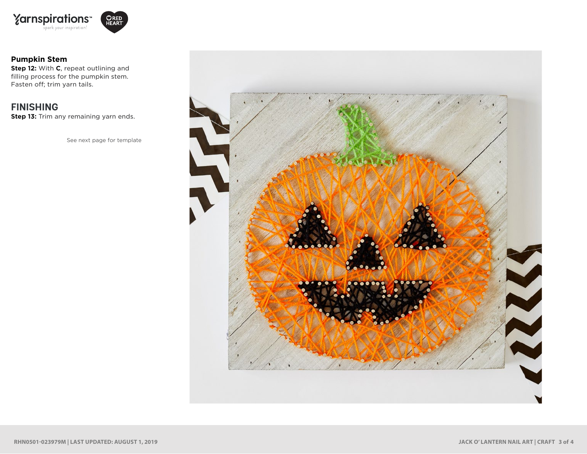![](_page_2_Picture_0.jpeg)

![](_page_2_Picture_1.jpeg)

#### **Pumpkin Stem**

**Step 12:** With **C**, repeat outlining and filling process for the pumpkin stem. Fasten off; trim yarn tails.

## **FINISHING**

**Step 13:** Trim any remaining yarn ends.

See next page for template

![](_page_2_Picture_7.jpeg)